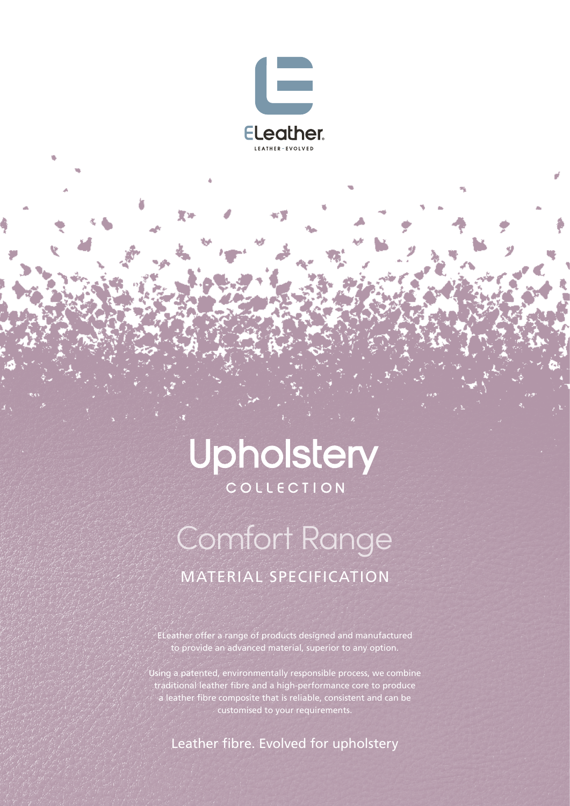

堂河

## Upholstery COLLECTION

# Comfort Range MATERIAL SPECIFICATION

ELeather offer a range of products designed and manufactured to provide an advanced material, superior to any option.

Using a patented, environmentally responsible process, we combine traditional leather fibre and a high-performance core to produce a leather fibre composite that is reliable, consistent and can be customised to your requirements.

Leather fibre. Evolved for upholstery